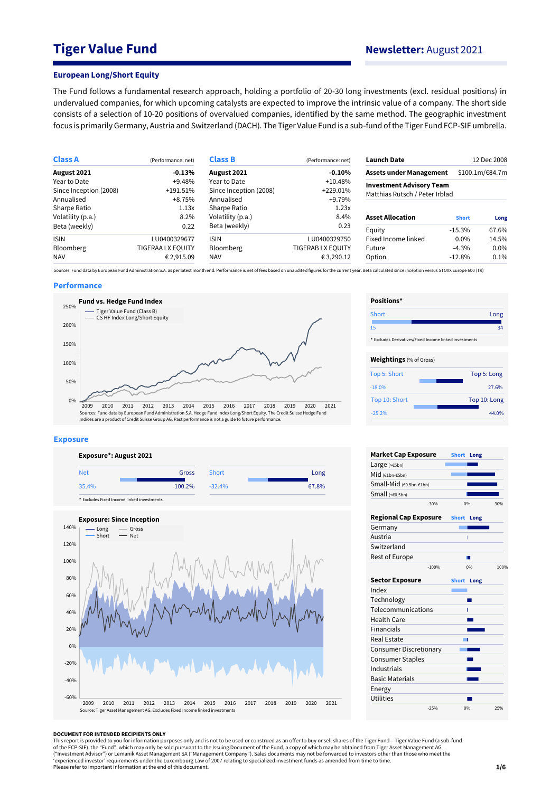# **Tiger Value Fund Newsletter:** August 2021

#### **European Long/Short Equity**

The Fund follows a fundamental research approach, holding a portfolio of 20-30 long investments (excl. residual positions) in undervalued companies, for which upcoming catalysts are expected to improve the intrinsic value of a company. The short side consists of a selection of 10-20 positions of overvalued companies, identified by the same method. The geographic investment focus is primarily Germany, Austria and Switzerland (DACH). The Tiger Value Fund is a sub-fund of the Tiger Fund FCP-SIF umbrella.

| (Performance: net)       | <b>Class B</b>         | (Performance: net) | <b>Launch Date</b>      |              | 12 Dec 2008                                                                                         |
|--------------------------|------------------------|--------------------|-------------------------|--------------|-----------------------------------------------------------------------------------------------------|
| $-0.13%$                 | August 2021            | $-0.10%$           |                         |              | \$100.1m/€84.7m                                                                                     |
| $+9.48%$                 | Year to Date           | $+10.48%$          |                         |              |                                                                                                     |
| $+191.51\%$              | Since Inception (2008) | $+229.01%$         |                         |              |                                                                                                     |
| +8.75%                   | Annualised             | +9.79%             |                         |              |                                                                                                     |
| 1.13x                    | Sharpe Ratio           | 1.23x              |                         |              |                                                                                                     |
| 8.2%                     | Volatility (p.a.)      | 8.4%               | <b>Asset Allocation</b> | <b>Short</b> | Long                                                                                                |
| 0.22                     | Beta (weekly)          | 0.23               | Equity                  | $-15.3%$     | 67.6%                                                                                               |
| LU0400329677             | <b>ISIN</b>            | LU0400329750       | Fixed Income linked     | $0.0\%$      | 14.5%                                                                                               |
| <b>TIGERAA LX EQUITY</b> | <b>Bloomberg</b>       | TIGERAB LX EQUITY  | Future                  | $-4.3%$      | $0.0\%$                                                                                             |
| € 2,915.09               | <b>NAV</b>             | €3,290.12          | Option                  | $-12.8%$     | 0.1%                                                                                                |
|                          |                        |                    |                         |              | <b>Assets under Management</b><br><b>Investment Advisory Team</b><br>Matthias Rutsch / Peter Irblad |

Sources: Fund data by European Fund Administration S.A. as per latest month end. Performance is net of fees based on unaudited figures for the current year. Beta calculated since inception versus STOXX Europe 600 (TR)

#### **Performance**



#### **Exposure**





| Positions*                                             |              |
|--------------------------------------------------------|--------------|
| Short                                                  | Long         |
| 15                                                     | 34           |
| * Excludes Derivatives/Fixed Income linked investments |              |
| <b>Weightings</b> (% of Gross)                         |              |
| Top 5: Short                                           | Top 5: Long  |
| $-18.0%$                                               | 27.6%        |
| Top 10: Short                                          | Top 10: Long |
| $-25.2%$                                               | 44.0%        |

| <b>Market Cap Exposure</b>    |         | <b>Short</b> | Long |
|-------------------------------|---------|--------------|------|
| Large $(>=5bn)$               |         |              |      |
| Mid (€1bn-€5bn)               |         |              |      |
| Small-Mid (€0.5bn-€1bn)       |         |              |      |
| Small (<60.5bn)               |         |              |      |
| $-30%$                        |         | 0%           | 30%  |
| <b>Regional Cap Exposure</b>  |         | <b>Short</b> | Long |
| Germany                       |         |              |      |
| Austria                       |         | Ï            |      |
| Switzerland                   |         |              |      |
| Rest of Europe                |         |              |      |
|                               | $-100%$ | 0%           | 100% |
| <b>Sector Exposure</b>        |         | <b>Short</b> | Long |
| Index                         |         |              |      |
| Technology                    |         |              |      |
| Telecommunications            |         | ı            |      |
| <b>Health Care</b>            |         |              |      |
| <b>Financials</b>             |         |              |      |
| <b>Real Estate</b>            |         | п            |      |
| <b>Consumer Discretionary</b> |         |              |      |
| <b>Consumer Staples</b>       |         |              |      |
| Industrials                   |         |              |      |
| <b>Basic Materials</b>        |         |              |      |
| Energy                        |         |              |      |
| <b>Utilities</b>              |         |              |      |
| $-25%$                        |         | 0%           | 25%  |

#### **DOCUMENT FOR INTENDED RECIPIENTS ONLY**

This report is provided to you for information purposes only and is not to be used or construed as an offer to buy or sell shares of the Tiger Fund – Tiger Value Fund (a sub-fund<br>of the FCP-SIF), the "Fund", which may only ("Investment Advisor") or Lemanik Asset Management SA ("Management Company"). Sales documents may not be forwarded to investors other than those who meet the<br>'experienced investor' requirements under the Luxembourg Law of Please refer to important information at the end of this document.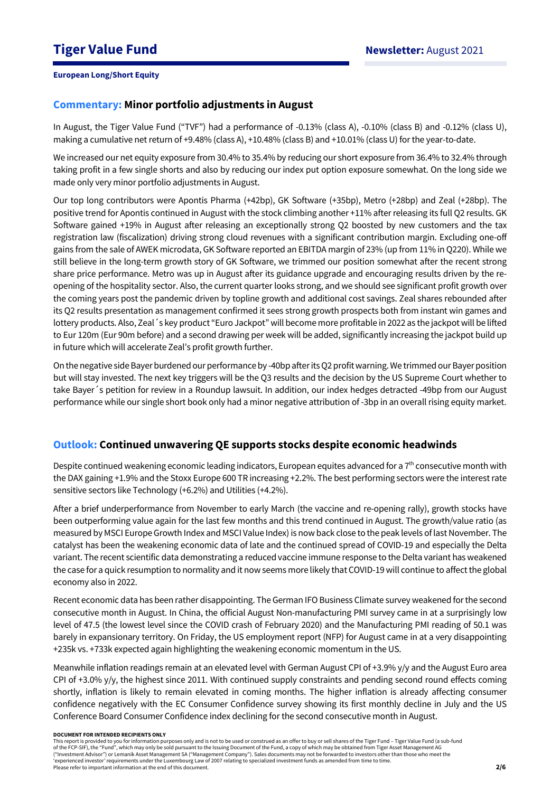## **Commentary: Minor portfolio adjustments in August**

In August, the Tiger Value Fund ("TVF") had a performance of -0.13% (class A), -0.10% (class B) and -0.12% (class U), making a cumulative net return of +9.48% (class A), +10.48% (class B) and +10.01% (class U) for the year-to-date.

We increased our net equity exposure from 30.4% to 35.4% by reducing our short exposure from 36.4% to 32.4% through taking profit in a few single shorts and also by reducing our index put option exposure somewhat. On the long side we made only very minor portfolio adjustments in August.

Our top long contributors were Apontis Pharma (+42bp), GK Software (+35bp), Metro (+28bp) and Zeal (+28bp). The positive trend for Apontis continued in August with the stock climbing another +11% after releasing its full Q2 results. GK Software gained +19% in August after releasing an exceptionally strong Q2 boosted by new customers and the tax registration law (fiscalization) driving strong cloud revenues with a significant contribution margin. Excluding one-off gains from the sale of AWEK microdata, GK Software reported an EBITDA margin of 23% (up from 11% in Q220). While we still believe in the long-term growth story of GK Software, we trimmed our position somewhat after the recent strong share price performance. Metro was up in August after its guidance upgrade and encouraging results driven by the reopening of the hospitality sector. Also, the current quarter looks strong, and we should see significant profit growth over the coming years post the pandemic driven by topline growth and additional cost savings. Zeal shares rebounded after its Q2 results presentation as management confirmed it sees strong growth prospects both from instant win games and lottery products. Also, Zeal´s key product "Euro Jackpot" will become more profitable in 2022 as the jackpot will be lifted to Eur 120m (Eur 90m before) and a second drawing per week will be added, significantly increasing the jackpot build up in future which will accelerate Zeal's profit growth further.

On the negative side Bayer burdened our performance by -40bp after its Q2 profit warning. We trimmed our Bayer position but will stay invested. The next key triggers will be the Q3 results and the decision by the US Supreme Court whether to take Bayer´s petition for review in a Roundup lawsuit. In addition, our index hedges detracted -49bp from our August performance while our single short book only had a minor negative attribution of -3bp in an overall rising equity market.

## **Outlook: Continued unwavering QE supports stocks despite economic headwinds**

Despite continued weakening economic leading indicators, European equites advanced for a  $7<sup>th</sup>$  consecutive month with the DAX gaining +1.9% and the Stoxx Europe 600 TR increasing +2.2%. The best performing sectors were the interest rate sensitive sectors like Technology (+6.2%) and Utilities (+4.2%).

After a brief underperformance from November to early March (the vaccine and re-opening rally), growth stocks have been outperforming value again for the last few months and this trend continued in August. The growth/value ratio (as measured by MSCI Europe Growth Index and MSCI Value Index) is now back close to the peak levels of last November. The catalyst has been the weakening economic data of late and the continued spread of COVID-19 and especially the Delta variant. The recent scientific data demonstrating a reduced vaccine immune response to the Delta variant has weakened the case for a quick resumption to normality and it now seems more likely that COVID-19 will continue to affect the global economy also in 2022.

Recent economic data has been rather disappointing. The German IFO Business Climate survey weakened for the second consecutive month in August. In China, the official August Non-manufacturing PMI survey came in at a surprisingly low level of 47.5 (the lowest level since the COVID crash of February 2020) and the Manufacturing PMI reading of 50.1 was barely in expansionary territory. On Friday, the US employment report (NFP) for August came in at a very disappointing +235k vs. +733k expected again highlighting the weakening economic momentum in the US.

Meanwhile inflation readings remain at an elevated level with German August CPI of +3.9% y/y and the August Euro area CPI of  $+3.0\%$  y/y, the highest since 2011. With continued supply constraints and pending second round effects coming shortly, inflation is likely to remain elevated in coming months. The higher inflation is already affecting consumer confidence negatively with the EC Consumer Confidence survey showing its first monthly decline in July and the US Conference Board Consumer Confidence index declining for the second consecutive month in August.

#### **DOCUMENT FOR INTENDED RECIPIENTS ONLY**

This report is provided to you for information purposes only and is not to be used or construed as an offer to buy or sell shares of the Tiger Fund – Tiger Value Fund (a sub-fund of the FCP-SIF), the "Fund", which may only be sold pursuant to the Issuing Document of the Fund, a copy of which may be obtained from Tiger Asset Management AG ("Investment Advisor") or Lemanik Asset Management SA ("Management Company"). Sales documents may not be forwarded to investors other than those who meet the 'experienced investor' requirements under the Luxembourg Law of 2007 relating to specialized investment funds as amended from time to time. Please refer to important information at the end of this document.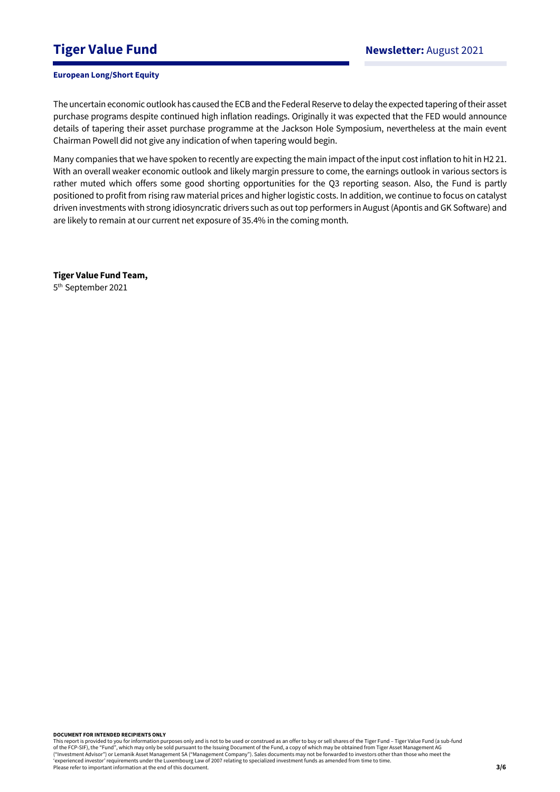# **Tiger Value Fund Newsletter:** August 2021

### **European Long/Short Equity**

The uncertain economic outlook has caused the ECB and the Federal Reserve to delay the expected tapering of their asset purchase programs despite continued high inflation readings. Originally it was expected that the FED would announce details of tapering their asset purchase programme at the Jackson Hole Symposium, nevertheless at the main event Chairman Powell did not give any indication of when tapering would begin.

Many companies that we have spoken to recently are expecting the main impact of the input cost inflation to hit in H2 21. With an overall weaker economic outlook and likely margin pressure to come, the earnings outlook in various sectors is rather muted which offers some good shorting opportunities for the Q3 reporting season. Also, the Fund is partly positioned to profit from rising raw material prices and higher logistic costs. In addition, we continue to focus on catalyst driven investments with strong idiosyncratic drivers such as out top performers in August (Apontis and GK Software) and are likely to remain at our current net exposure of 35.4% in the coming month.

**Tiger Value Fund Team,**  5 th September 2021

**DOCUMENT FOR INTENDED RECIPIENTS ONLY**

This report is provided to you for information purposes only and is not to be used or construed as an offer to buy or sell shares of the Tiger Fund – Tiger Value Fund (a sub-fund<br>of the FCP-SIF), the "Fund", which may only ("Investment Advisor") or Lemanik Asset Management SA ("Management Company"). Sales documents may not be forwarded to investors other than those who meet the 'experienced investor' requirements under the Luxembourg Law of 2007 relating to specialized investment funds as amended from time to time. Please refer to important information at the end of this document.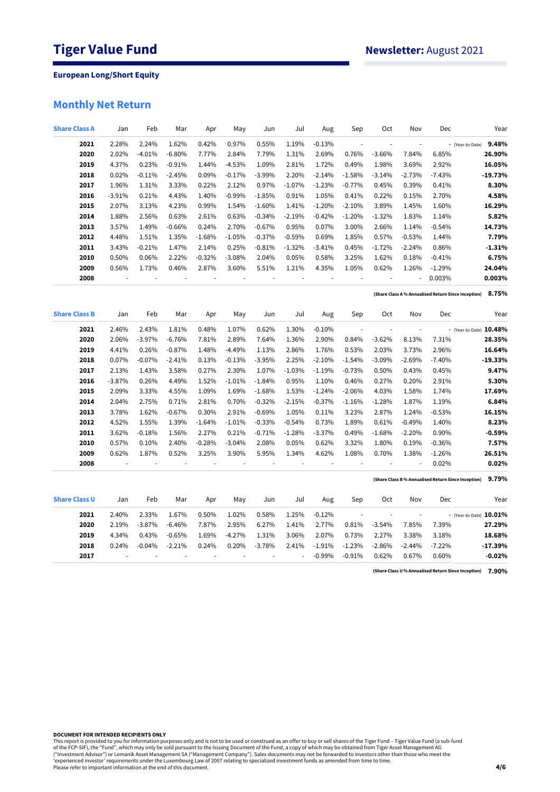# **Monthly Net Return**

| <b>Share Class A</b> | Jan           | Feb            | Mar      | Apr      | May      | Jun      | Jul      | Aug      | Sep                      | Oct                      | Nov                      | Dec      | Year                                                         |
|----------------------|---------------|----------------|----------|----------|----------|----------|----------|----------|--------------------------|--------------------------|--------------------------|----------|--------------------------------------------------------------|
| 2021                 | 2.28%         | 2.24%          | 1.62%    | 0.42%    | 0.97%    | 0.55%    | 1.19%    | $-0.13%$ | ÷,                       | ÷,                       | i,                       |          | 9.48%<br>- (Year-to-Date)                                    |
| 2020                 | 2.02%         | $-4.01%$       | $-6.80%$ | 7.77%    | 2.84%    | 7.79%    | 1.31%    | 2.69%    | 0.76%                    | $-3.66%$                 | 7.84%                    | 6.85%    | 26.90%                                                       |
| 2019                 | 4.37%         | 0.23%          | $-0.91%$ | 1.44%    | $-4.53%$ | 1.09%    | 2.81%    | 1.72%    | 0.49%                    | 1.98%                    | 3.69%                    | 2.92%    | 16.05%                                                       |
| 2018                 | 0.02%         | $-0.11%$       | $-2.45%$ | 0.09%    | $-0.17%$ | $-3.99%$ | 2.20%    | $-2.14%$ | $-1.58%$                 | $-3.14%$                 | $-2.73%$                 | $-7.43%$ | $-19.73%$                                                    |
| 2017                 | 1.96%         | 1.31%          | 3.33%    | 0.22%    | 2.12%    | 0.97%    | $-1.07%$ | $-1.23%$ | $-0.77%$                 | 0.45%                    | 0.39%                    | 0.41%    | 8.30%                                                        |
| 2016                 | $-3.91%$      | 0.21%          | 4.43%    | 1.40%    | $-0.99%$ | $-1.85%$ | 0.91%    | 1.05%    | 0.41%                    | 0.22%                    | 0.15%                    | 2.70%    | 4.58%                                                        |
| 2015                 | 2.07%         | 3.13%          | 4.23%    | 0.99%    | 1.54%    | $-1.60%$ | 1.41%    | $-1.20%$ | $-2.10%$                 | 3.89%                    | 1.45%                    | 1.60%    | 16.29%                                                       |
| 2014                 | 1.88%         | 2.56%          | 0.63%    | 2.61%    | 0.63%    | $-0.34%$ | $-2.19%$ | $-0.42%$ | $-1.20%$                 | $-1.32%$                 | 1.83%                    | 1.14%    | 5.82%                                                        |
| 2013                 | 3.57%         | 1.49%          | $-0.66%$ | 0.24%    | 2.70%    | $-0.67%$ | 0.95%    | 0.07%    | 3.00%                    | 2.66%                    | 1.14%                    | $-0.54%$ | 14.73%                                                       |
| 2012                 | 4.48%         | 1.51%          | 1.35%    | $-1.68%$ | $-1.05%$ | $-0.37%$ | $-0.59%$ | 0.69%    | 1.85%                    | 0.57%                    | $-0.53%$                 | 1.44%    | 7.79%                                                        |
| 2011                 | 3.43%         | $-0.21%$       | 1.47%    | 2.14%    | 0.25%    | $-0.81%$ | $-1.32%$ | $-3.41%$ | 0.45%                    | $-1.72%$                 | $-2.24%$                 | 0.86%    | $-1.31%$                                                     |
| 2010                 | 0.50%         | 0.06%          | 2.22%    | $-0.32%$ | $-3.08%$ | 2.04%    | 0.05%    | 0.58%    | 3.25%                    | 1.62%                    | 0.18%                    | $-0.41%$ | 6.75%                                                        |
| 2009                 | 0.56%         | 1.73%          | 0.46%    | 2.87%    | 3.60%    | 5.51%    | 1.21%    | 4.35%    | 1.05%                    | 0.62%                    | 1.26%                    | $-1.29%$ | 24.04%                                                       |
| 2008                 | $\frac{1}{2}$ | $\overline{a}$ | ł,       | ÷,       |          |          | ÷,       | ÷,       | ł,                       | ÷                        | ÷,                       | 0.003%   | 0.003%                                                       |
|                      |               |                |          |          |          |          |          |          |                          |                          |                          |          | 8.75%<br>(Share Class A % Annualised Return Since Inception) |
| <b>Share Class B</b> | Jan           | Feb            | Mar      | Apr      | May      | Jun      | Jul      | Aug      | Sep                      | Oct                      | Nov                      | Dec      | Year                                                         |
| 2021                 | 2.46%         | 2.43%          | 1.81%    | 0.48%    | 1.07%    | 0.62%    | 1.30%    | $-0.10%$ | ÷,                       | $\overline{\phantom{a}}$ | $\overline{\phantom{a}}$ |          | - (Year-to-Date) 10.48%                                      |
| 2020                 | 2.06%         | $-3.97%$       | $-6.76%$ | 7.81%    | 2.89%    | 7.64%    | 1.36%    | 2.90%    | 0.84%                    | $-3.62%$                 | 8.13%                    | 7.31%    | 28.35%                                                       |
| 2019                 | 4.41%         | 0.26%          | $-0.87%$ | 1.48%    | $-4.49%$ | 1.13%    | 2.86%    | 1.76%    | 0.53%                    | 2.03%                    | 3.73%                    | 2.96%    | 16.64%                                                       |
| 2018                 | 0.07%         | $-0.07%$       | $-2.41%$ | 0.13%    | $-0.13%$ | $-3.95%$ | 2.25%    | $-2.10%$ | $-1.54%$                 | $-3.09%$                 | $-2.69%$                 | $-7.40%$ | $-19.33%$                                                    |
| 2017                 | 2.13%         | 1.43%          | 3.58%    | 0.27%    | 2.30%    | 1.07%    | $-1.03%$ | $-1.19%$ | $-0.73%$                 | 0.50%                    | 0.43%                    | 0.45%    | 9.47%                                                        |
| 2016                 | $-3.87%$      | 0.26%          | 4.49%    | 1.52%    | $-1.01%$ | $-1.84%$ | 0.95%    | 1.10%    | 0.46%                    | 0.27%                    | 0.20%                    | 2.91%    | 5.30%                                                        |
| 2015                 | 2.09%         | 3.33%          | 4.55%    | 1.09%    | 1.69%    | $-1.68%$ | 1.53%    | $-1.24%$ | $-2.06%$                 | 4.03%                    | 1.58%                    | 1.74%    | 17.69%                                                       |
| 2014                 | 2.04%         | 2.75%          | 0.71%    | 2.81%    | 0.70%    | $-0.32%$ | $-2.15%$ | $-0.37%$ | $-1.16%$                 | $-1.28%$                 | 1.87%                    | 1.19%    | 6.84%                                                        |
| 2013                 | 3.78%         | 1.62%          | $-0.67%$ | 0.30%    | 2.91%    | $-0.69%$ | 1.05%    | 0.11%    | 3.23%                    | 2.87%                    | 1.24%                    | $-0.53%$ | 16.15%                                                       |
| 2012                 | 4.52%         | 1.55%          | 1.39%    | $-1.64%$ | $-1.01%$ | $-0.33%$ | $-0.54%$ | 0.73%    | 1.89%                    | 0.61%                    | $-0.49%$                 | 1.40%    | 8.23%                                                        |
| 2011                 | 3.62%         | $-0.18%$       | 1.56%    | 2.27%    | 0.21%    | $-0.71%$ | $-1.28%$ | $-3.37%$ | 0.49%                    | $-1.68%$                 | $-2.20%$                 | 0.90%    | $-0.59%$                                                     |
| 2010                 | 0.57%         | 0.10%          | 2.40%    | $-0.28%$ | $-3.04%$ | 2.08%    | 0.05%    | 0.62%    | 3.32%                    | 1.80%                    | 0.19%                    | $-0.36%$ | 7.57%                                                        |
| 2009                 | 0.62%         | 1.87%          | 0.52%    | 3.25%    | 3.90%    | 5.95%    | 1.34%    | 4.62%    | 1.08%                    | 0.70%                    | 1.38%                    | $-1.26%$ | 26.51%                                                       |
| 2008                 | ÷,            | ÷,             | ÷,       | ÷,       | ÷,       |          | ł,       | ÷,       | $\overline{\phantom{a}}$ | ÷,                       | ÷,                       | 0.02%    | 0.02%                                                        |
|                      |               |                |          |          |          |          |          |          |                          |                          |                          |          | 9.79%<br>(Share Class B% Annualised Return Since Inception)  |
| <b>Share Class U</b> | Jan           | Feb            | Mar      | Apr      | May      | Jun      | Jul      | Aug      | Sep                      | Oct                      | Nov                      | Dec      | Year                                                         |
| 2021                 | 2.40%         | 2.33%          | 1.67%    | 0.50%    | 1.02%    | 0.58%    | 1.25%    | $-0.12%$ | ÷,                       | $\overline{\phantom{a}}$ | $\overline{\phantom{a}}$ |          | - (Year-to-Date) 10.01%                                      |
| 2020                 | 2.19%         | $-3.87%$       | $-6.46%$ | 7.87%    | 2.95%    | 6.27%    | 1.41%    | 2.77%    | 0.81%                    | $-3.54%$                 | 7.85%                    | 7.39%    | 27.29%                                                       |
| 2019                 | 4.34%         | 0.43%          | $-0.65%$ | 1.69%    | $-4.27%$ | 1.31%    | 3.06%    | 2.07%    | 0.73%                    | 2.27%                    | 3.38%                    | 3.18%    | 18.68%                                                       |
| 2018                 | 0.24%         | $-0.04%$       | $-2.21%$ | 0.24%    | 0.20%    | $-3.78%$ | 2.41%    | $-1.91%$ | $-1.23%$                 | $-2.86%$                 | $-2.44%$                 | $-7.22%$ | $-17.39%$                                                    |
| 2017                 |               |                |          |          |          |          | ä,       | $-0.99%$ | $-0.91%$                 | 0.62%                    | 0.67%                    | 0.60%    | $-0.02%$                                                     |

**7.90% (Share Class U % Annualised Return Since Inception)**

**DOCUMENT FOR INTENDED RECIPIENTS ONLY**

This report is provided to you for information purposes only and is not to be used or construed as an offer to buy or sell shares of the Tiger Fund – Tiger Value Fund (a sub-fund<br>of the FCP-SIF), the "Fund", which may only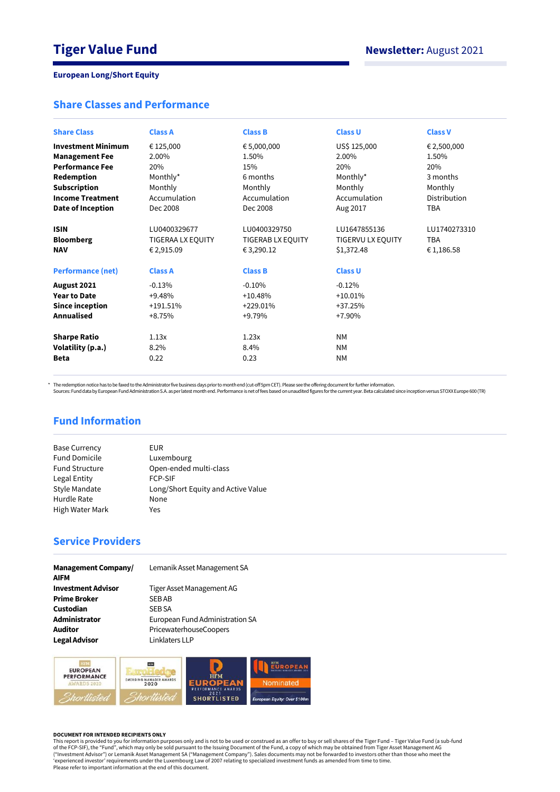## **Share Classes and Performance**

| <b>Share Class</b>        | <b>Class A</b>    | <b>Class B</b>    | <b>Class U</b>    | <b>Class V</b>      |
|---------------------------|-------------------|-------------------|-------------------|---------------------|
| <b>Investment Minimum</b> | € 125,000         | € 5,000,000       | US\$ 125,000      | € 2,500,000         |
| <b>Management Fee</b>     | 2.00%             | 1.50%             | 2.00%             | 1.50%               |
| <b>Performance Fee</b>    | 20%               | 15%               | 20%               | 20%                 |
| Redemption                | Monthly*          | 6 months          | Monthly*          | 3 months            |
| <b>Subscription</b>       | Monthly           | Monthly           | Monthly           | Monthly             |
| <b>Income Treatment</b>   | Accumulation      | Accumulation      | Accumulation      | <b>Distribution</b> |
| Date of Inception         | Dec 2008          | Dec 2008          | Aug 2017          | <b>TBA</b>          |
| <b>ISIN</b>               | LU0400329677      | LU0400329750      | LU1647855136      | LU1740273310        |
| <b>Bloomberg</b>          | TIGERAA LX EQUITY | TIGERAB LX EQUITY | TIGERVU LX EQUITY | <b>TBA</b>          |
| <b>NAV</b>                | € 2,915.09        | € 3,290.12        | \$1,372.48        | € 1,186.58          |
| <b>Performance (net)</b>  | <b>Class A</b>    | <b>Class B</b>    | <b>Class U</b>    |                     |
| August 2021               | $-0.13%$          | $-0.10%$          | $-0.12%$          |                     |
| <b>Year to Date</b>       | $+9.48%$          | $+10.48%$         | $+10.01%$         |                     |
| <b>Since inception</b>    | $+191.51%$        | $+229.01%$        | $+37.25%$         |                     |
| <b>Annualised</b>         | $+8.75%$          | +9.79%            | $+7.90%$          |                     |
| <b>Sharpe Ratio</b>       | 1.13x             | 1.23x             | <b>NM</b>         |                     |
| Volatility (p.a.)         | 8.2%              | 8.4%              | <b>NM</b>         |                     |
| <b>Beta</b>               | 0.22              | 0.23              | <b>NM</b>         |                     |

\* The redemption notice has to be faxed to the Administrator five business days prior to month end (cut-off 5pm CET). Please see the offering document for further information.<br>Sources: Fund data by European Fund Administra

# **Fund Information**

| EUR                                |
|------------------------------------|
| Luxembourg                         |
| Open-ended multi-class             |
| <b>FCP-SIF</b>                     |
| Long/Short Equity and Active Value |
| None                               |
| Yes                                |
|                                    |

# **Service Providers**

| <b>Management Company/</b><br><b>AIFM</b> | Lemanik Asset Management SA     |
|-------------------------------------------|---------------------------------|
| <b>Investment Advisor</b>                 | Tiger Asset Management AG       |
| <b>Prime Broker</b>                       | <b>SEBAB</b>                    |
| Custodian                                 | <b>SEB SA</b>                   |
| Administrator                             | European Fund Administration SA |
| <b>Auditor</b>                            | PricewaterhouseCoopers          |
| <b>Legal Advisor</b>                      | Linklaters LLP                  |



#### **DOCUMENT FOR INTENDED RECIPIENTS ONLY**

This report is provided to you for information purposes only and is not to be used or construed as an offer to buy or sell shares of the Tiger Fund – Tiger Value Fund (a sub-fund<br>of the FCP-SIF), the "Fund", which may only